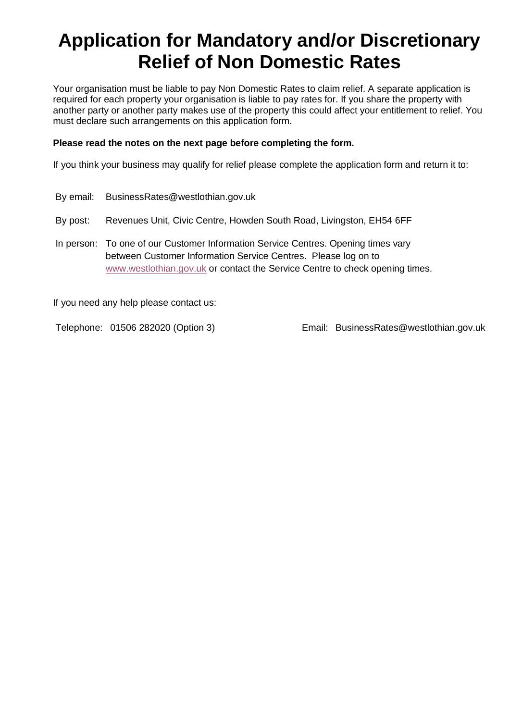# **Application for Mandatory and/or Discretionary Relief of Non Domestic Rates**

Your organisation must be liable to pay Non Domestic Rates to claim relief. A separate application is required for each property your organisation is liable to pay rates for. If you share the property with another party or another party makes use of the property this could affect your entitlement to relief. You must declare such arrangements on this application form.

### **Please read the notes on the next page before completing the form.**

If you think your business may qualify for relief please complete the application form and return it to:

|          | By email: BusinessRates@westlothian.gov.uk                                                                                                                                                                                          |
|----------|-------------------------------------------------------------------------------------------------------------------------------------------------------------------------------------------------------------------------------------|
| By post: | Revenues Unit, Civic Centre, Howden South Road, Livingston, EH54 6FF                                                                                                                                                                |
|          | In person: To one of our Customer Information Service Centres. Opening times vary<br>between Customer Information Service Centres. Please log on to<br>www.westlothian.gov.uk or contact the Service Centre to check opening times. |

If you need any help please contact us:

Telephone: 01506 282020 (Option 3) Email: BusinessRates@westlothian.gov.uk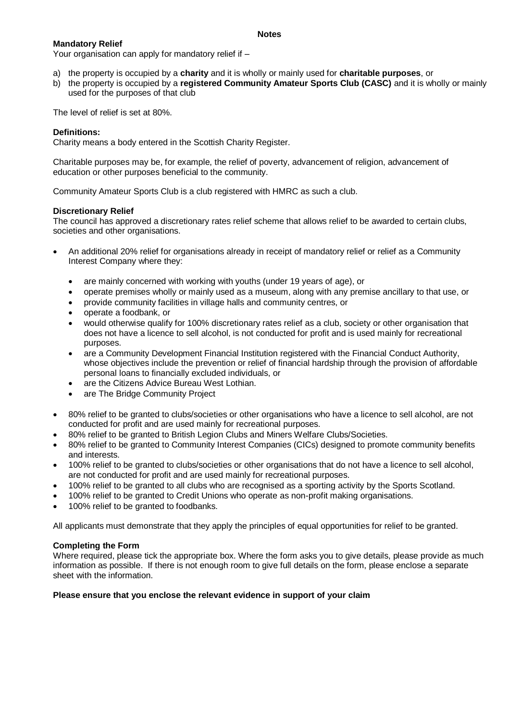#### **Notes**

#### **Mandatory Relief**

Your organisation can apply for mandatory relief if –

- a) the property is occupied by a **charity** and it is wholly or mainly used for **charitable purposes**, or
- b) the property is occupied by a **registered Community Amateur Sports Club (CASC)** and it is wholly or mainly used for the purposes of that club

The level of relief is set at 80%.

#### **Definitions:**

Charity means a body entered in the Scottish Charity Register.

Charitable purposes may be, for example, the relief of poverty, advancement of religion, advancement of education or other purposes beneficial to the community.

Community Amateur Sports Club is a club registered with HMRC as such a club.

#### **Discretionary Relief**

The council has approved a discretionary rates relief scheme that allows relief to be awarded to certain clubs, societies and other organisations.

- An additional 20% relief for organisations already in receipt of mandatory relief or relief as a Community Interest Company where they:
	- are mainly concerned with working with youths (under 19 years of age), or
	- operate premises wholly or mainly used as a museum, along with any premise ancillary to that use, or
	- provide community facilities in village halls and community centres, or
	- operate a foodbank, or
	- would otherwise qualify for 100% discretionary rates relief as a club, society or other organisation that does not have a licence to sell alcohol, is not conducted for profit and is used mainly for recreational purposes.
	- are a Community Development Financial Institution registered with the Financial Conduct Authority, whose objectives include the prevention or relief of financial hardship through the provision of affordable personal loans to financially excluded individuals, or
	- are the Citizens Advice Bureau West Lothian.
	- are The Bridge Community Project
- 80% relief to be granted to clubs/societies or other organisations who have a licence to sell alcohol, are not conducted for profit and are used mainly for recreational purposes.
- 80% relief to be granted to British Legion Clubs and Miners Welfare Clubs/Societies.
- 80% relief to be granted to Community Interest Companies (CICs) designed to promote community benefits and interests.
- 100% relief to be granted to clubs/societies or other organisations that do not have a licence to sell alcohol, are not conducted for profit and are used mainly for recreational purposes.
- 100% relief to be granted to all clubs who are recognised as a sporting activity by the Sports Scotland.
- 100% relief to be granted to Credit Unions who operate as non-profit making organisations.
- 100% relief to be granted to foodbanks.

All applicants must demonstrate that they apply the principles of equal opportunities for relief to be granted.

#### **Completing the Form**

Where required, please tick the appropriate box. Where the form asks you to give details, please provide as much information as possible. If there is not enough room to give full details on the form, please enclose a separate sheet with the information.

#### **Please ensure that you enclose the relevant evidence in support of your claim**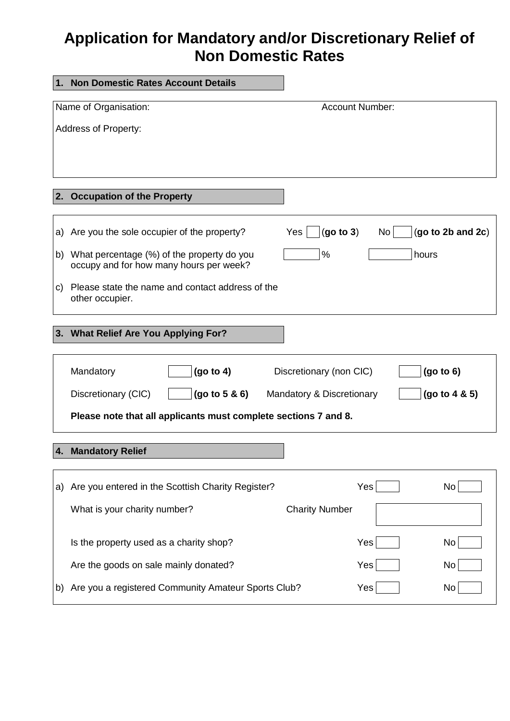# **Application for Mandatory and/or Discretionary Relief of Non Domestic Rates**

| 1. | <b>Non Domestic Rates Account Details</b>                                             |                           |                  |                   |
|----|---------------------------------------------------------------------------------------|---------------------------|------------------|-------------------|
|    | Name of Organisation:<br><b>Account Number:</b>                                       |                           |                  |                   |
|    | <b>Address of Property:</b>                                                           |                           |                  |                   |
|    |                                                                                       |                           |                  |                   |
|    |                                                                                       |                           |                  |                   |
|    | <b>Occupation of the Property</b>                                                     |                           |                  |                   |
|    |                                                                                       |                           |                  |                   |
| a) | Are you the sole occupier of the property?                                            | (go to 3)<br>Yes          | No               | (go to 2b and 2c) |
| b) | What percentage (%) of the property do you<br>occupy and for how many hours per week? | %                         |                  | hours             |
| C) | Please state the name and contact address of the<br>other occupier.                   |                           |                  |                   |
|    | 3. What Relief Are You Applying For?                                                  |                           |                  |                   |
|    | (go to 4)<br>Mandatory                                                                | Discretionary (non CIC)   |                  | (go to 6)         |
|    | Discretionary (CIC)<br>(go to 5 & 6)                                                  | Mandatory & Discretionary |                  | (go to 4 & 5)     |
|    | Please note that all applicants must complete sections 7 and 8.                       |                           |                  |                   |
| 4. | <b>Mandatory Relief</b>                                                               |                           |                  |                   |
|    |                                                                                       |                           |                  |                   |
| a) | Are you entered in the Scottish Charity Register?                                     |                           | Yes <sup> </sup> | No                |
|    | What is your charity number?                                                          | <b>Charity Number</b>     |                  |                   |
|    | Is the property used as a charity shop?                                               |                           | Yes              | No                |
|    | Are the goods on sale mainly donated?                                                 |                           | Yes              | No                |
| b) | Are you a registered Community Amateur Sports Club?                                   |                           | Yes              | No                |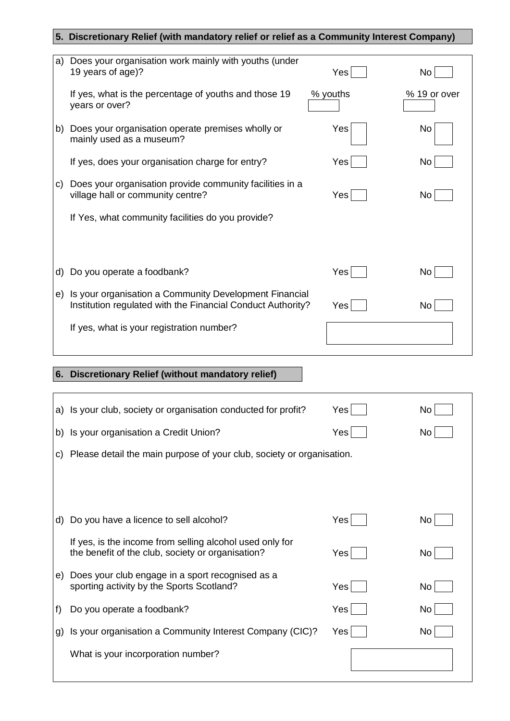# **5. Discretionary Relief (with mandatory relief or relief as a Community Interest Company)**

| a) | Does your organisation work mainly with youths (under<br>19 years of age)?                                            | Yes        | No           |
|----|-----------------------------------------------------------------------------------------------------------------------|------------|--------------|
|    | If yes, what is the percentage of youths and those 19<br>years or over?                                               | % youths   | % 19 or over |
|    | b) Does your organisation operate premises wholly or<br>mainly used as a museum?                                      | Yes        | No           |
|    | If yes, does your organisation charge for entry?                                                                      | Yes        | No           |
| C) | Does your organisation provide community facilities in a<br>village hall or community centre?                         | Yes        | No           |
|    | If Yes, what community facilities do you provide?                                                                     |            |              |
|    |                                                                                                                       |            |              |
|    |                                                                                                                       |            |              |
| d) | Do you operate a foodbank?                                                                                            | <b>Yes</b> | No           |
| e) | Is your organisation a Community Development Financial<br>Institution regulated with the Financial Conduct Authority? | Yes        | No           |
|    | If yes, what is your registration number?                                                                             |            |              |
|    |                                                                                                                       |            |              |
| 6. | <b>Discretionary Relief (without mandatory relief)</b>                                                                |            |              |
|    |                                                                                                                       |            |              |
|    | a) Is your club, society or organisation conducted for profit?                                                        | Yes        | No           |
|    | b) Is your organisation a Credit Union?                                                                               | $Yes$      | No           |
|    | c) Please detail the main purpose of your club, society or organisation.                                              |            |              |
|    |                                                                                                                       |            |              |
| d) | Do you have a licence to sell alcohol?                                                                                | Yes        | No           |
|    | If yes, is the income from selling alcohol used only for                                                              |            |              |
|    | the benefit of the club, society or organisation?                                                                     | Yes        | No l         |

| If yes, is the income from selling alcohol used only for<br>the benefit of the club, society or organisation? | Yes l | No. |
|---------------------------------------------------------------------------------------------------------------|-------|-----|
| e) Does your club engage in a sport recognised as a<br>sporting activity by the Sports Scotland?              | Yes l | No. |
| f) Do you operate a foodbank?                                                                                 | Yes   | No  |
| g) Is your organisation a Community Interest Company (CIC)?                                                   | Yes l | No. |
| What is your incorporation number?                                                                            |       |     |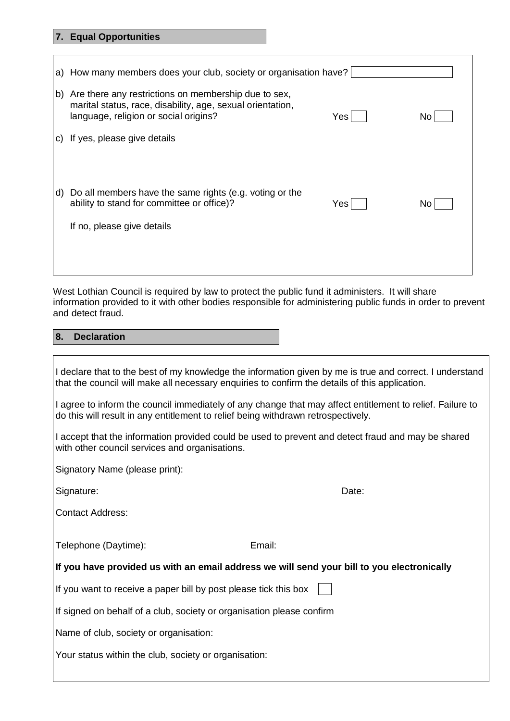# **7. Equal Opportunities**

 $\Gamma$ 

|              | a) How many members does your club, society or organisation have?                                                                                                          |  |
|--------------|----------------------------------------------------------------------------------------------------------------------------------------------------------------------------|--|
| lb)          | Are there any restrictions on membership due to sex,<br>marital status, race, disability, age, sexual orientation,<br>language, religion or social origins?<br>Yes:<br>No. |  |
|              | c) If yes, please give details                                                                                                                                             |  |
|              |                                                                                                                                                                            |  |
| $\mathsf{d}$ | Do all members have the same rights (e.g. voting or the<br>ability to stand for committee or office)?<br>Yes  <br>No.                                                      |  |
|              | If no, please give details                                                                                                                                                 |  |
|              |                                                                                                                                                                            |  |
|              |                                                                                                                                                                            |  |

┑

West Lothian Council is required by law to protect the public fund it administers. It will share information provided to it with other bodies responsible for administering public funds in order to prevent and detect fraud.

# **8. Declaration**

| I declare that to the best of my knowledge the information given by me is true and correct. I understand<br>that the council will make all necessary enquiries to confirm the details of this application. |        |  |
|------------------------------------------------------------------------------------------------------------------------------------------------------------------------------------------------------------|--------|--|
| I agree to inform the council immediately of any change that may affect entitlement to relief. Failure to<br>do this will result in any entitlement to relief being withdrawn retrospectively.             |        |  |
| I accept that the information provided could be used to prevent and detect fraud and may be shared<br>with other council services and organisations.                                                       |        |  |
| Signatory Name (please print):                                                                                                                                                                             |        |  |
| Signature:                                                                                                                                                                                                 | Date:  |  |
| <b>Contact Address:</b>                                                                                                                                                                                    |        |  |
| Telephone (Daytime):                                                                                                                                                                                       | Email: |  |
| If you have provided us with an email address we will send your bill to you electronically                                                                                                                 |        |  |
| If you want to receive a paper bill by post please tick this box                                                                                                                                           |        |  |
| If signed on behalf of a club, society or organisation please confirm                                                                                                                                      |        |  |
| Name of club, society or organisation:                                                                                                                                                                     |        |  |
| Your status within the club, society or organisation:                                                                                                                                                      |        |  |
|                                                                                                                                                                                                            |        |  |